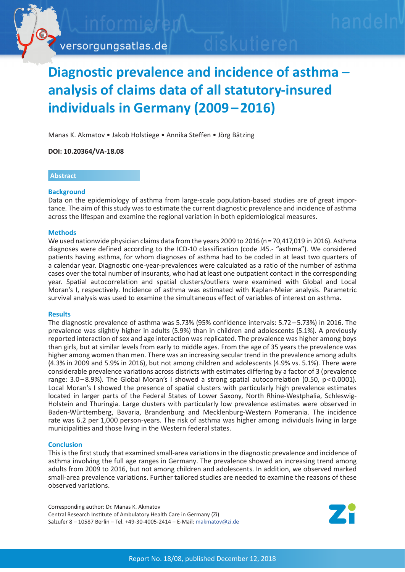

# **Diagnostic prevalence and incidence of asthma – analysis of claims data of all statutory-insured individuals in Germany (2009 – 2016)**

Manas K. Akmatov • Jakob Holstiege • Annika Steffen • Jörg Bätzing

**DOI: 10.20364/VA-18.08**

#### **Abstract**

## **Background**

Data on the epidemiology of asthma from large-scale population-based studies are of great importance. The aim of this study was to estimate the current diagnostic prevalence and incidence of asthma across the lifespan and examine the regional variation in both epidemiological measures.

## **Methods**

We used nationwide physician claims data from the years 2009 to 2016 (n = 70,417,019 in 2016). Asthma diagnoses were defined according to the ICD-10 classification (code J45.- "asthma"). We considered patients having asthma, for whom diagnoses of asthma had to be coded in at least two quarters of a calendar year. Diagnostic one-year-prevalences were calculated as a ratio of the number of asthma cases over the total number of insurants, who had at least one outpatient contact in the corresponding year. Spatial autocorrelation and spatial clusters/outliers were examined with Global and Local Moran's I, respectively. Incidence of asthma was estimated with Kaplan-Meier analysis. Parametric survival analysis was used to examine the simultaneous effect of variables of interest on asthma.

#### **Results**

The diagnostic prevalence of asthma was 5.73% (95% confidence intervals: 5.72 – 5.73%) in 2016. The prevalence was slightly higher in adults (5.9%) than in children and adolescents (5.1%). A previously reported interaction of sex and age interaction was replicated. The prevalence was higher among boys than girls, but at similar levels from early to middle ages. From the age of 35 years the prevalence was higher among women than men. There was an increasing secular trend in the prevalence among adults (4.3% in 2009 and 5.9% in 2016), but not among children and adolescents (4.9% vs. 5.1%). There were considerable prevalence variations across districts with estimates differing by a factor of 3 (prevalence range: 3.0–8.9%). The Global Moran's I showed a strong spatial autocorrelation (0.50, p < 0.0001). Local Moran's I showed the presence of spatial clusters with particularly high prevalence estimates located in larger parts of the Federal States of Lower Saxony, North Rhine-Westphalia, Schleswig-Holstein and Thuringia. Large clusters with particularly low prevalence estimates were observed in Baden-Württemberg, Bavaria, Brandenburg and Mecklenburg-Western Pomerania. The incidence rate was 6.2 per 1,000 person-years. The risk of asthma was higher among individuals living in large municipalities and those living in the Western federal states.

## **Conclusion**

This is the first study that examined small-area variations in the diagnostic prevalence and incidence of asthma involving the full age ranges in Germany. The prevalence showed an increasing trend among adults from 2009 to 2016, but not among children and adolescents. In addition, we observed marked small-area prevalence variations. Further tailored studies are needed to examine the reasons of these observed variations.

Corresponding author: Dr. Manas K. Akmatov Central Research Institute of Ambulatory Health Care in Germany (Zi) Salzufer 8 – 10587 Berlin – Tel. +49-30-4005-2414 – E-Mail: [makmatov@zi.de](mailto:makmatov%40zi.de?subject=VA-Bericht%2018/08%20Asthma%20bronchiale)